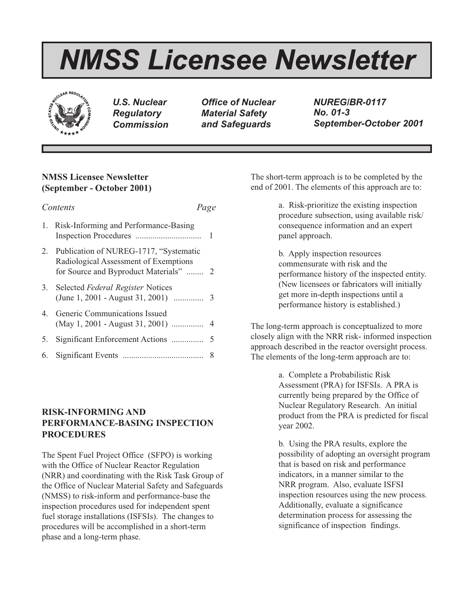# *NMSS Licensee Newsletter*



*U.S. Nuclear Regulatory Commission*

*Office of Nuclear Material Safety and Safeguards*

*NUREG/BR-0117 No. 01-3 September-October 2001*

# **NMSS Licensee Newsletter (September - October 2001)**

| Contents |                                                                                                                              | Page |  |
|----------|------------------------------------------------------------------------------------------------------------------------------|------|--|
|          | 1. Risk-Informing and Performance-Basing                                                                                     | 1    |  |
|          | 2. Publication of NUREG-1717, "Systematic<br>Radiological Assessment of Exemptions<br>for Source and Byproduct Materials"  2 |      |  |
|          | 3. Selected Federal Register Notices                                                                                         |      |  |
|          | 4. Generic Communications Issued<br>$(May 1, 2001 - August 31, 2001)$                                                        | 4    |  |
| 5.       | Significant Enforcement Actions                                                                                              | 5    |  |
| 6.       |                                                                                                                              | 8    |  |

# **RISK-INFORMING AND PERFORMANCE-BASING INSPECTION PROCEDURES**

The Spent Fuel Project Office (SFPO) is working with the Office of Nuclear Reactor Regulation (NRR) and coordinating with the Risk Task Group of the Office of Nuclear Material Safety and Safeguards (NMSS) to risk-inform and performance-base the inspection procedures used for independent spent fuel storage installations (ISFSIs). The changes to procedures will be accomplished in a short-term phase and a long-term phase.

The short-term approach is to be completed by the end of 2001. The elements of this approach are to:

> a. Risk-prioritize the existing inspection procedure subsection, using available risk/ consequence information and an expert panel approach.

b. Apply inspection resources commensurate with risk and the performance history of the inspected entity. (New licensees or fabricators will initially get more in-depth inspections until a performance history is established.)

The long-term approach is conceptualized to more closely align with the NRR risk- informed inspection approach described in the reactor oversight process. The elements of the long-term approach are to:

> a. Complete a Probabilistic Risk Assessment (PRA) for ISFSIs. A PRA is currently being prepared by the Office of Nuclear Regulatory Research. An initial product from the PRA is predicted for fiscal year 2002.

> b. Using the PRA results, explore the possibility of adopting an oversight program that is based on risk and performance indicators, in a manner similar to the NRR program. Also, evaluate ISFSI inspection resources using the new process. Additionally, evaluate a significance determination process for assessing the significance of inspection findings.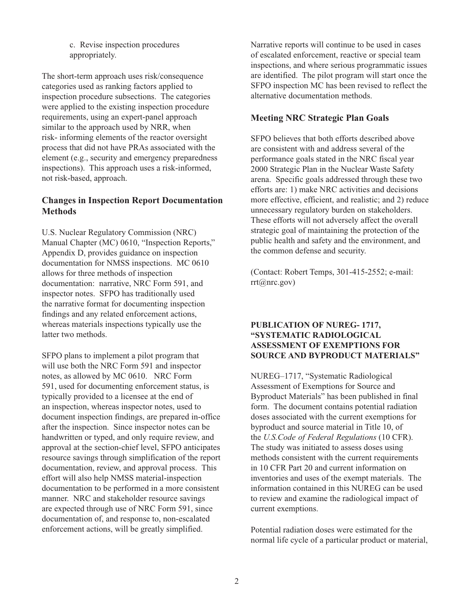c. Revise inspection procedures appropriately.

The short-term approach uses risk/consequence categories used as ranking factors applied to inspection procedure subsections. The categories were applied to the existing inspection procedure requirements, using an expert-panel approach similar to the approach used by NRR, when risk- informing elements of the reactor oversight process that did not have PRAs associated with the element (e.g., security and emergency preparedness inspections). This approach uses a risk-informed, not risk-based, approach.

# **Changes in Inspection Report Documentation Methods**

U.S. Nuclear Regulatory Commission (NRC) Manual Chapter (MC) 0610, "Inspection Reports," Appendix D, provides guidance on inspection documentation for NMSS inspections. MC 0610 allows for three methods of inspection documentation: narrative, NRC Form 591, and inspector notes. SFPO has traditionally used the narrative format for documenting inspection findings and any related enforcement actions, whereas materials inspections typically use the latter two methods.

SFPO plans to implement a pilot program that will use both the NRC Form 591 and inspector notes, as allowed by MC 0610. NRC Form 591, used for documenting enforcement status, is typically provided to a licensee at the end of an inspection, whereas inspector notes, used to document inspection findings, are prepared in-office after the inspection. Since inspector notes can be handwritten or typed, and only require review, and approval at the section-chief level, SFPO anticipates resource savings through simplification of the report documentation, review, and approval process. This effort will also help NMSS material-inspection documentation to be performed in a more consistent manner. NRC and stakeholder resource savings are expected through use of NRC Form 591, since documentation of, and response to, non-escalated enforcement actions, will be greatly simplified.

Narrative reports will continue to be used in cases of escalated enforcement, reactive or special team inspections, and where serious programmatic issues are identified. The pilot program will start once the SFPO inspection MC has been revised to reflect the alternative documentation methods.

# **Meeting NRC Strategic Plan Goals**

SFPO believes that both efforts described above are consistent with and address several of the performance goals stated in the NRC fiscal year 2000 Strategic Plan in the Nuclear Waste Safety arena. Specific goals addressed through these two efforts are: 1) make NRC activities and decisions more effective, efficient, and realistic; and 2) reduce unnecessary regulatory burden on stakeholders. These efforts will not adversely affect the overall strategic goal of maintaining the protection of the public health and safety and the environment, and the common defense and security.

(Contact: Robert Temps, 301-415-2552; e-mail:  $rrt(\omega n r c.gov)$ 

## **PUBLICATION OF NUREG- 1717, "SYSTEMATIC RADIOLOGICAL ASSESSMENT OF EXEMPTIONS FOR SOURCE AND BYPRODUCT MATERIALS"**

NUREG–1717, "Systematic Radiological Assessment of Exemptions for Source and Byproduct Materials" has been published in final form. The document contains potential radiation doses associated with the current exemptions for byproduct and source material in Title 10, of the *U.S.Code of Federal Regulations* (10 CFR). The study was initiated to assess doses using methods consistent with the current requirements in 10 CFR Part 20 and current information on inventories and uses of the exempt materials. The information contained in this NUREG can be used to review and examine the radiological impact of current exemptions.

Potential radiation doses were estimated for the normal life cycle of a particular product or material,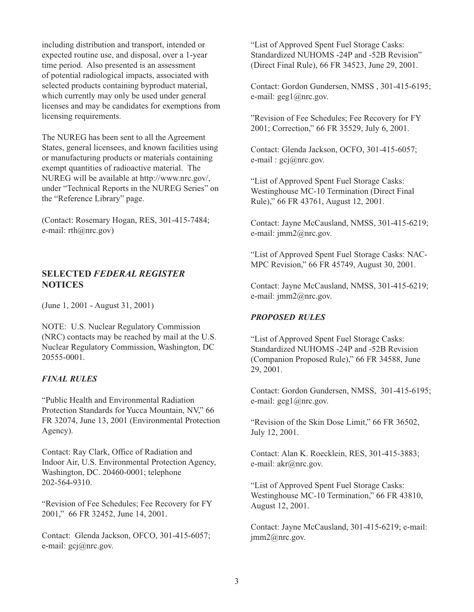including distribution and transport, intended or expected routine use, and disposal, over a 1-year time period. Also presented is an assessment of potential radiological impacts, associated with selected products containing byproduct material, which currently may only be used under general licenses and may be candidates for exemptions from licensing requirements.

The NUREG has been sent to all the Agreement States, general licensees, and known facilities using or manufacturing products or materials containing exempt quantities of radioactive material. The NUREG will be available at http://www.nrc.gov/, under "Technical Reports in the NUREG Series" on the "Reference Library" page.

(Contact: Rosemary Hogan, RES, 301-415-7484; e-mail: rth@nrc.gov)

# **SELECTED** *FEDERAL REGISTER* **NOTICES**

(June 1, 2001 - August 31, 2001)

NOTE: U.S. Nuclear Regulatory Commission (NRC) contacts may be reached by mail at the U.S. Nuclear Regulatory Commission, Washington, DC 20555-0001.

# *FINAL RULES*

"Public Health and Environmental Radiation Protection Standards for Yucca Mountain, NV," 66 FR 32074, June 13, 2001 (Environmental Protection Agency).

Contact: Ray Clark, Office of Radiation and Indoor Air, U.S. Environmental Protection Agency, Washington, DC. 20460-0001; telephone 202-564-9310.

"Revision of Fee Schedules; Fee Recovery for FY 2001," 66 FR 32452, June 14, 2001.

Contact: Glenda Jackson, OFCO, 301-415-6057; e-mail: gcj@nrc.gov.

"List of Approved Spent Fuel Storage Casks: Standardized NUHOMS -24P and -52B Revision" (Direct Final Rule), 66 FR 34523, June 29, 2001.

Contact: Gordon Gundersen, NMSS , 301-415-6195; e-mail:  $geg1$  ( $@nrc.gov$ .

"Revision of Fee Schedules; Fee Recovery for FY 2001; Correction," 66 FR 35529, July 6, 2001.

Contact: Glenda Jackson, OCFO, 301-415-6057; e-mail :  $\text{gcj}(\widehat{a})$ nrc.gov.

"List of Approved Spent Fuel Storage Casks: Westinghouse MC-10 Termination (Direct Final Rule)," 66 FR 43761, August 12, 2001.

Contact: Jayne McCausland, NMSS, 301-415-6219; e-mail: jmm2@nrc.gov.

"List of Approved Spent Fuel Storage Casks: NAC-MPC Revision," 66 FR 45749, August 30, 2001.

Contact: Jayne McCausland, NMSS, 301-415-6219; e-mail: jmm2@nrc.gov.

## *PROPOSED RULES*

"List of Approved Spent Fuel Storage Casks: Standardized NUHOMS -24P and -52B Revision (Companion Proposed Rule)," 66 FR 34588, June 29, 2001.

Contact: Gordon Gundersen, NMSS, 301-415-6195; e-mail: geg1@nrc.gov.

"Revision of the Skin Dose Limit," 66 FR 36502, July 12, 2001.

Contact: Alan K. Roecklein, RES, 301-415-3883; e-mail: akr@nrc.gov.

"List of Approved Spent Fuel Storage Casks: Westinghouse MC-10 Termination," 66 FR 43810, August 12, 2001.

Contact: Jayne McCausland, 301-415-6219; e-mail: jmm2@nrc.gov.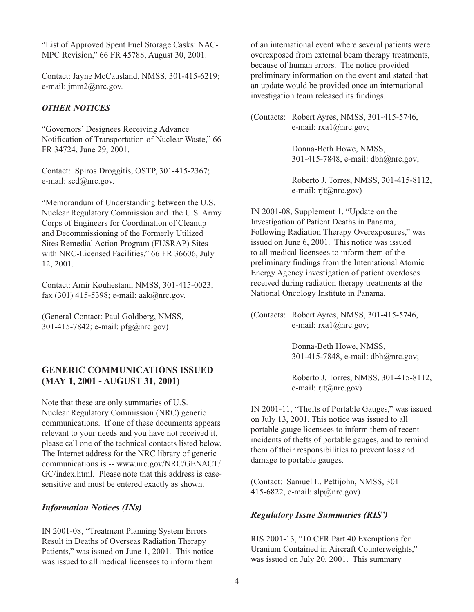"List of Approved Spent Fuel Storage Casks: NAC-MPC Revision," 66 FR 45788, August 30, 2001.

Contact: Jayne McCausland, NMSS, 301-415-6219; e-mail: jmm2@nrc.gov.

## *OTHER NOTICES*

"Governors' Designees Receiving Advance Notification of Transportation of Nuclear Waste," 66 FR 34724, June 29, 2001.

Contact: Spiros Droggitis, OSTP, 301-415-2367; e-mail: scd@nrc.gov.

"Memorandum of Understanding between the U.S. Nuclear Regulatory Commission and the U.S. Army Corps of Engineers for Coordination of Cleanup and Decommissioning of the Formerly Utilized Sites Remedial Action Program (FUSRAP) Sites with NRC-Licensed Facilities," 66 FR 36606, July 12, 2001.

Contact: Amir Kouhestani, NMSS, 301-415-0023; fax (301) 415-5398; e-mail: aak@nrc.gov.

(General Contact: Paul Goldberg, NMSS, 301-415-7842; e-mail: pfg@nrc.gov)

# **GENERIC COMMUNICATIONS ISSUED (MAY 1, 2001 - AUGUST 31, 2001)**

Note that these are only summaries of U.S. Nuclear Regulatory Commission (NRC) generic communications. If one of these documents appears relevant to your needs and you have not received it, please call one of the technical contacts listed below. The Internet address for the NRC library of generic communications is -- www.nrc.gov/NRC/GENACT/ GC/index.html. Please note that this address is casesensitive and must be entered exactly as shown.

## *Information Notices (INs)*

IN 2001-08, "Treatment Planning System Errors Result in Deaths of Overseas Radiation Therapy Patients," was issued on June 1, 2001. This notice was issued to all medical licensees to inform them

of an international event where several patients were overexposed from external beam therapy treatments, because of human errors. The notice provided preliminary information on the event and stated that an update would be provided once an international investigation team released its findings.

(Contacts: Robert Ayres, NMSS, 301-415-5746, e-mail: rxa1@nrc.gov;

> Donna-Beth Howe, NMSS, 301-415-7848, e-mail: dbh@nrc.gov;

Roberto J. Torres, NMSS, 301-415-8112, e-mail: rjt@nrc.gov)

IN 2001-08, Supplement 1, "Update on the Investigation of Patient Deaths in Panama, Following Radiation Therapy Overexposures," was issued on June 6, 2001. This notice was issued to all medical licensees to inform them of the preliminary findings from the International Atomic Energy Agency investigation of patient overdoses received during radiation therapy treatments at the National Oncology Institute in Panama.

(Contacts: Robert Ayres, NMSS, 301-415-5746, e-mail: rxa1@nrc.gov;

> Donna-Beth Howe, NMSS, 301-415-7848, e-mail: dbh@nrc.gov;

Roberto J. Torres, NMSS, 301-415-8112, e-mail: rjt@nrc.gov)

IN 2001-11, "Thefts of Portable Gauges," was issued on July 13, 2001. This notice was issued to all portable gauge licensees to inform them of recent incidents of thefts of portable gauges, and to remind them of their responsibilities to prevent loss and damage to portable gauges.

(Contact: Samuel L. Pettijohn, NMSS, 301 415-6822, e-mail: slp@nrc.gov)

# *Regulatory Issue Summaries (RIS')*

RIS 2001-13, "10 CFR Part 40 Exemptions for Uranium Contained in Aircraft Counterweights," was issued on July 20, 2001. This summary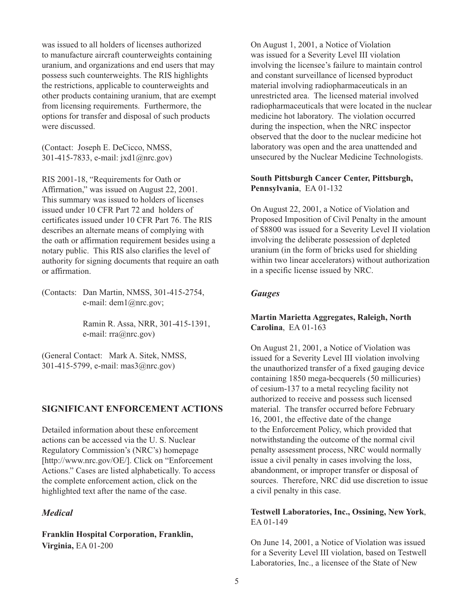was issued to all holders of licenses authorized to manufacture aircraft counterweights containing uranium, and organizations and end users that may possess such counterweights. The RIS highlights the restrictions, applicable to counterweights and other products containing uranium, that are exempt from licensing requirements. Furthermore, the options for transfer and disposal of such products were discussed.

(Contact: Joseph E. DeCicco, NMSS, 301-415-7833, e-mail: jxd1@nrc.gov)

RIS 2001-18, "Requirements for Oath or Affirmation," was issued on August 22, 2001. This summary was issued to holders of licenses issued under 10 CFR Part 72 and holders of certificates issued under 10 CFR Part 76. The RIS describes an alternate means of complying with the oath or affirmation requirement besides using a notary public. This RIS also clarifies the level of authority for signing documents that require an oath or affirmation.

(Contacts: Dan Martin, NMSS, 301-415-2754, e-mail: dem1@nrc.gov;

> Ramin R. Assa, NRR, 301-415-1391, e-mail: rra@nrc.gov)

(General Contact: Mark A. Sitek, NMSS, 301-415-5799, e-mail: mas3@nrc.gov)

# **SIGNIFICANT ENFORCEMENT ACTIONS**

Detailed information about these enforcement actions can be accessed via the U. S. Nuclear Regulatory Commission's (NRC's) homepage [http://www.nrc.gov/OE/]. Click on "Enforcement Actions." Cases are listed alphabetically. To access the complete enforcement action, click on the highlighted text after the name of the case.

## *Medical*

**Franklin Hospital Corporation, Franklin, Virginia,** EA 01-200

On August 1, 2001, a Notice of Violation was issued for a Severity Level III violation involving the licensee's failure to maintain control and constant surveillance of licensed byproduct material involving radiopharmaceuticals in an unrestricted area. The licensed material involved radiopharmaceuticals that were located in the nuclear medicine hot laboratory. The violation occurred during the inspection, when the NRC inspector observed that the door to the nuclear medicine hot laboratory was open and the area unattended and unsecured by the Nuclear Medicine Technologists.

## **South Pittsburgh Cancer Center, Pittsburgh, Pennsylvania**, EA 01-132

On August 22, 2001, a Notice of Violation and Proposed Imposition of Civil Penalty in the amount of \$8800 was issued for a Severity Level II violation involving the deliberate possession of depleted uranium (in the form of bricks used for shielding within two linear accelerators) without authorization in a specific license issued by NRC.

## *Gauges*

## **Martin Marietta Aggregates, Raleigh, North Carolina**, EA 01-163

On August 21, 2001, a Notice of Violation was issued for a Severity Level III violation involving the unauthorized transfer of a fixed gauging device containing 1850 mega-becquerels (50 millicuries) of cesium-137 to a metal recycling facility not authorized to receive and possess such licensed material. The transfer occurred before February 16, 2001, the effective date of the change to the Enforcement Policy, which provided that notwithstanding the outcome of the normal civil penalty assessment process, NRC would normally issue a civil penalty in cases involving the loss, abandonment, or improper transfer or disposal of sources. Therefore, NRC did use discretion to issue a civil penalty in this case.

## **Testwell Laboratories, Inc., Ossining, New York**, EA 01-149

On June 14, 2001, a Notice of Violation was issued for a Severity Level III violation, based on Testwell Laboratories, Inc., a licensee of the State of New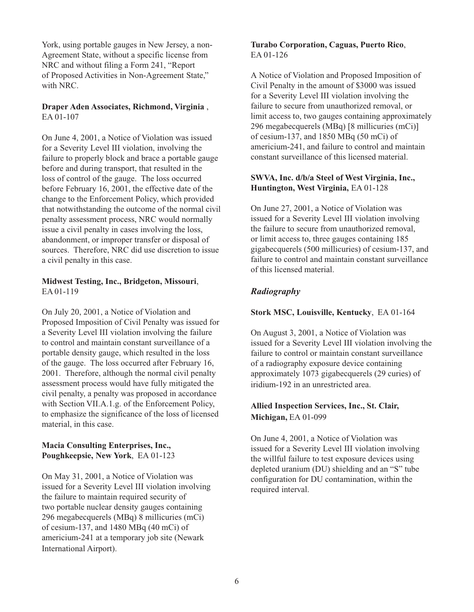York, using portable gauges in New Jersey, a non-Agreement State, without a specific license from NRC and without filing a Form 241, "Report of Proposed Activities in Non-Agreement State," with NRC.

# **Draper Aden Associates, Richmond, Virginia** , EA 01-107

On June 4, 2001, a Notice of Violation was issued for a Severity Level III violation, involving the failure to properly block and brace a portable gauge before and during transport, that resulted in the loss of control of the gauge. The loss occurred before February 16, 2001, the effective date of the change to the Enforcement Policy, which provided that notwithstanding the outcome of the normal civil penalty assessment process, NRC would normally issue a civil penalty in cases involving the loss, abandonment, or improper transfer or disposal of sources. Therefore, NRC did use discretion to issue a civil penalty in this case.

# **Midwest Testing, Inc., Bridgeton, Missouri**, EA 01-119

On July 20, 2001, a Notice of Violation and Proposed Imposition of Civil Penalty was issued for a Severity Level III violation involving the failure to control and maintain constant surveillance of a portable density gauge, which resulted in the loss of the gauge. The loss occurred after February 16, 2001. Therefore, although the normal civil penalty assessment process would have fully mitigated the civil penalty, a penalty was proposed in accordance with Section VII.A.1.g. of the Enforcement Policy, to emphasize the significance of the loss of licensed material, in this case.

## **Macia Consulting Enterprises, Inc., Poughkeepsie, New York**, EA 01-123

On May 31, 2001, a Notice of Violation was issued for a Severity Level III violation involving the failure to maintain required security of two portable nuclear density gauges containing 296 megabecquerels (MBq) 8 millicuries (mCi) of cesium-137, and 1480 MBq (40 mCi) of americium-241 at a temporary job site (Newark International Airport).

# **Turabo Corporation, Caguas, Puerto Rico**, EA 01-126

A Notice of Violation and Proposed Imposition of Civil Penalty in the amount of \$3000 was issued for a Severity Level III violation involving the failure to secure from unauthorized removal, or limit access to, two gauges containing approximately 296 megabecquerels (MBq) [8 millicuries (mCi)] of cesium-137, and 1850 MBq (50 mCi) of americium-241, and failure to control and maintain constant surveillance of this licensed material.

# **SWVA, Inc. d/b/a Steel of West Virginia, Inc., Huntington, West Virginia,** EA 01-128

On June 27, 2001, a Notice of Violation was issued for a Severity Level III violation involving the failure to secure from unauthorized removal, or limit access to, three gauges containing 185 gigabecquerels (500 millicuries) of cesium-137, and failure to control and maintain constant surveillance of this licensed material.

# *Radiography*

# **Stork MSC, Louisville, Kentucky**, EA 01-164

On August 3, 2001, a Notice of Violation was issued for a Severity Level III violation involving the failure to control or maintain constant surveillance of a radiography exposure device containing approximately 1073 gigabecquerels (29 curies) of iridium-192 in an unrestricted area.

# **Allied Inspection Services, Inc., St. Clair, Michigan,** EA 01-099

On June 4, 2001, a Notice of Violation was issued for a Severity Level III violation involving the willful failure to test exposure devices using depleted uranium (DU) shielding and an "S" tube configuration for DU contamination, within the required interval.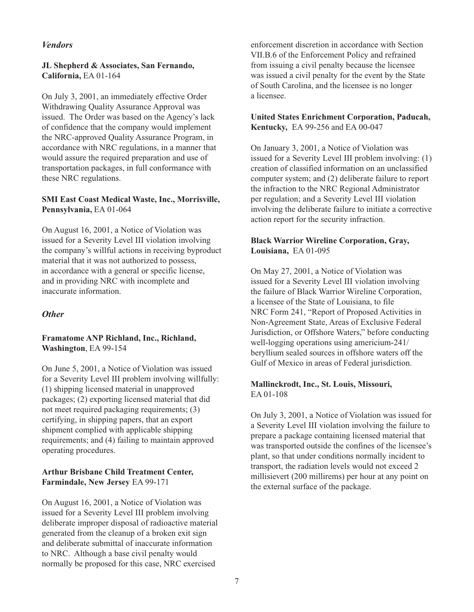# *Vendors*

## **JL Shepherd & Associates, San Fernando, California,** EA 01-164

On July 3, 2001, an immediately effective Order Withdrawing Quality Assurance Approval was issued. The Order was based on the Agency's lack of confidence that the company would implement the NRC-approved Quality Assurance Program, in accordance with NRC regulations, in a manner that would assure the required preparation and use of transportation packages, in full conformance with these NRC regulations.

## **SMI East Coast Medical Waste, Inc., Morrisville, Pennsylvania,** EA 01-064

On August 16, 2001, a Notice of Violation was issued for a Severity Level III violation involving the company's willful actions in receiving byproduct material that it was not authorized to possess, in accordance with a general or specific license, and in providing NRC with incomplete and inaccurate information.

# *Other*

## **Framatome ANP Richland, Inc., Richland, Washington**, EA 99-154

On June 5, 2001, a Notice of Violation was issued for a Severity Level III problem involving willfully: (1) shipping licensed material in unapproved packages; (2) exporting licensed material that did not meet required packaging requirements; (3) certifying, in shipping papers, that an export shipment complied with applicable shipping requirements; and (4) failing to maintain approved operating procedures.

## **Arthur Brisbane Child Treatment Center, Farmindale, New Jersey** EA 99-171

On August 16, 2001, a Notice of Violation was issued for a Severity Level III problem involving deliberate improper disposal of radioactive material generated from the cleanup of a broken exit sign and deliberate submittal of inaccurate information to NRC. Although a base civil penalty would normally be proposed for this case, NRC exercised

enforcement discretion in accordance with Section VII.B.6 of the Enforcement Policy and refrained from issuing a civil penalty because the licensee was issued a civil penalty for the event by the State of South Carolina, and the licensee is no longer a licensee.

## **United States Enrichment Corporation, Paducah, Kentucky,** EA 99-256 and EA 00-047

On January 3, 2001, a Notice of Violation was issued for a Severity Level III problem involving: (1) creation of classified information on an unclassified computer system; and (2) deliberate failure to report the infraction to the NRC Regional Administrator per regulation; and a Severity Level III violation involving the deliberate failure to initiate a corrective action report for the security infraction.

# **Black Warrior Wireline Corporation, Gray, Louisiana,** EA 01-095

On May 27, 2001, a Notice of Violation was issued for a Severity Level III violation involving the failure of Black Warrior Wireline Corporation, a licensee of the State of Louisiana, to file NRC Form 241, "Report of Proposed Activities in Non-Agreement State, Areas of Exclusive Federal Jurisdiction, or Offshore Waters," before conducting well-logging operations using americium-241/ beryllium sealed sources in offshore waters off the Gulf of Mexico in areas of Federal jurisdiction.

## **Mallinckrodt, Inc., St. Louis, Missouri,**  EA 01-108

On July 3, 2001, a Notice of Violation was issued for a Severity Level III violation involving the failure to prepare a package containing licensed material that was transported outside the confines of the licensee's plant, so that under conditions normally incident to transport, the radiation levels would not exceed 2 millisievert (200 millirems) per hour at any point on the external surface of the package.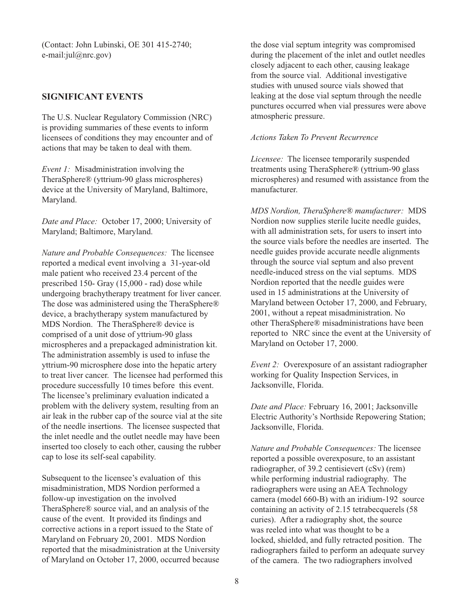(Contact: John Lubinski, OE 301 415-2740; e-mail:jul@nrc.gov)

# **SIGNIFICANT EVENTS**

The U.S. Nuclear Regulatory Commission (NRC) is providing summaries of these events to inform licensees of conditions they may encounter and of actions that may be taken to deal with them.

*Event 1:* Misadministration involving the TheraSphere® (yttrium-90 glass microspheres) device at the University of Maryland, Baltimore, Maryland.

*Date and Place:* October 17, 2000; University of Maryland; Baltimore, Maryland.

*Nature and Probable Consequences:* The licensee reported a medical event involving a 31-year-old male patient who received 23.4 percent of the prescribed 150- Gray (15,000 - rad) dose while undergoing brachytherapy treatment for liver cancer. The dose was administered using the TheraSphere® device, a brachytherapy system manufactured by MDS Nordion. The TheraSphere® device is comprised of a unit dose of yttrium-90 glass microspheres and a prepackaged administration kit. The administration assembly is used to infuse the yttrium-90 microsphere dose into the hepatic artery to treat liver cancer. The licensee had performed this procedure successfully 10 times before this event. The licensee's preliminary evaluation indicated a problem with the delivery system, resulting from an air leak in the rubber cap of the source vial at the site of the needle insertions. The licensee suspected that the inlet needle and the outlet needle may have been inserted too closely to each other, causing the rubber cap to lose its self-seal capability.

Subsequent to the licensee's evaluation of this misadministration, MDS Nordion performed a follow-up investigation on the involved TheraSphere® source vial, and an analysis of the cause of the event. It provided its findings and corrective actions in a report issued to the State of Maryland on February 20, 2001. MDS Nordion reported that the misadministration at the University of Maryland on October 17, 2000, occurred because

the dose vial septum integrity was compromised during the placement of the inlet and outlet needles closely adjacent to each other, causing leakage from the source vial. Additional investigative studies with unused source vials showed that leaking at the dose vial septum through the needle punctures occurred when vial pressures were above atmospheric pressure.

#### *Actions Taken To Prevent Recurrence*

*Licensee:* The licensee temporarily suspended treatments using TheraSphere® (yttrium-90 glass microspheres) and resumed with assistance from the manufacturer.

*MDS Nordion, TheraSphere® manufacturer:* MDS Nordion now supplies sterile lucite needle guides, with all administration sets, for users to insert into the source vials before the needles are inserted. The needle guides provide accurate needle alignments through the source vial septum and also prevent needle-induced stress on the vial septums. MDS Nordion reported that the needle guides were used in 15 administrations at the University of Maryland between October 17, 2000, and February, 2001, without a repeat misadministration. No other TheraSphere® misadministrations have been reported to NRC since the event at the University of Maryland on October 17, 2000.

*Event 2:* Overexposure of an assistant radiographer working for Quality Inspection Services, in Jacksonville, Florida.

*Date and Place:* February 16, 2001; Jacksonville Electric Authority's Northside Repowering Station; Jacksonville, Florida.

*Nature and Probable Consequences:* The licensee reported a possible overexposure, to an assistant radiographer, of 39.2 centisievert (cSv) (rem) while performing industrial radiography. The radiographers were using an AEA Technology camera (model 660-B) with an iridium-192 source containing an activity of 2.15 tetrabecquerels (58 curies). After a radiography shot, the source was reeled into what was thought to be a locked, shielded, and fully retracted position. The radiographers failed to perform an adequate survey of the camera. The two radiographers involved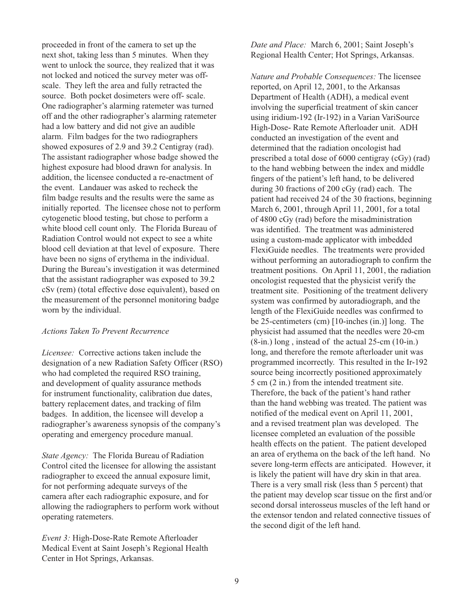proceeded in front of the camera to set up the next shot, taking less than 5 minutes. When they went to unlock the source, they realized that it was not locked and noticed the survey meter was offscale. They left the area and fully retracted the source. Both pocket dosimeters were off- scale. One radiographer's alarming ratemeter was turned off and the other radiographer's alarming ratemeter had a low battery and did not give an audible alarm. Film badges for the two radiographers showed exposures of 2.9 and 39.2 Centigray (rad). The assistant radiographer whose badge showed the highest exposure had blood drawn for analysis. In addition, the licensee conducted a re-enactment of the event. Landauer was asked to recheck the film badge results and the results were the same as initially reported. The licensee chose not to perform cytogenetic blood testing, but chose to perform a white blood cell count only. The Florida Bureau of Radiation Control would not expect to see a white blood cell deviation at that level of exposure. There have been no signs of erythema in the individual. During the Bureau's investigation it was determined that the assistant radiographer was exposed to 39.2 cSv (rem) (total effective dose equivalent), based on the measurement of the personnel monitoring badge worn by the individual.

## *Actions Taken To Prevent Recurrence*

*Licensee:* Corrective actions taken include the designation of a new Radiation Safety Officer (RSO) who had completed the required RSO training, and development of quality assurance methods for instrument functionality, calibration due dates, battery replacement dates, and tracking of film badges. In addition, the licensee will develop a radiographer's awareness synopsis of the company's operating and emergency procedure manual.

*State Agency:* The Florida Bureau of Radiation Control cited the licensee for allowing the assistant radiographer to exceed the annual exposure limit, for not performing adequate surveys of the camera after each radiographic exposure, and for allowing the radiographers to perform work without operating ratemeters.

*Event 3:* High-Dose-Rate Remote Afterloader Medical Event at Saint Joseph's Regional Health Center in Hot Springs, Arkansas.

*Date and Place:* March 6, 2001; Saint Joseph's Regional Health Center; Hot Springs, Arkansas.

*Nature and Probable Consequences:* The licensee reported, on April 12, 2001, to the Arkansas Department of Health (ADH), a medical event involving the superficial treatment of skin cancer using iridium-192 (Ir-192) in a Varian VariSource High-Dose- Rate Remote Afterloader unit. ADH conducted an investigation of the event and determined that the radiation oncologist had prescribed a total dose of 6000 centigray (cGy) (rad) to the hand webbing between the index and middle fingers of the patient's left hand, to be delivered during 30 fractions of 200 cGy (rad) each. The patient had received 24 of the 30 fractions, beginning March 6, 2001, through April 11, 2001, for a total of 4800 cGy (rad) before the misadministration was identified. The treatment was administered using a custom-made applicator with imbedded FlexiGuide needles. The treatments were provided without performing an autoradiograph to confirm the treatment positions. On April 11, 2001, the radiation oncologist requested that the physicist verify the treatment site. Positioning of the treatment delivery system was confirmed by autoradiograph, and the length of the FlexiGuide needles was confirmed to be 25-centimeters (cm) [10-inches (in.)] long. The physicist had assumed that the needles were 20-cm (8-in.) long , instead of the actual 25-cm (10-in.) long, and therefore the remote afterloader unit was programmed incorrectly. This resulted in the Ir-192 source being incorrectly positioned approximately 5 cm (2 in.) from the intended treatment site. Therefore, the back of the patient's hand rather than the hand webbing was treated. The patient was notified of the medical event on April 11, 2001, and a revised treatment plan was developed. The licensee completed an evaluation of the possible health effects on the patient. The patient developed an area of erythema on the back of the left hand. No severe long-term effects are anticipated. However, it is likely the patient will have dry skin in that area. There is a very small risk (less than 5 percent) that the patient may develop scar tissue on the first and/or second dorsal interosseus muscles of the left hand or the extensor tendon and related connective tissues of the second digit of the left hand.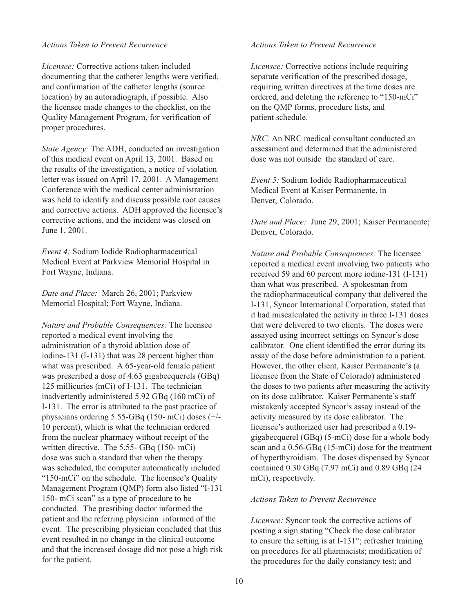#### *Actions Taken to Prevent Recurrence*

*Licensee:* Corrective actions taken included documenting that the catheter lengths were verified, and confirmation of the catheter lengths (source location) by an autoradiograph, if possible. Also the licensee made changes to the checklist, on the Quality Management Program, for verification of proper procedures.

*State Agency:* The ADH, conducted an investigation of this medical event on April 13, 2001. Based on the results of the investigation, a notice of violation letter was issued on April 17, 2001. A Management Conference with the medical center administration was held to identify and discuss possible root causes and corrective actions. ADH approved the licensee's corrective actions, and the incident was closed on June 1, 2001.

*Event 4:* Sodium Iodide Radiopharmaceutical Medical Event at Parkview Memorial Hospital in Fort Wayne, Indiana.

*Date and Place:* March 26, 2001; Parkview Memorial Hospital; Fort Wayne, Indiana.

*Nature and Probable Consequences:* The licensee reported a medical event involving the administration of a thyroid ablation dose of iodine-131 (I-131) that was 28 percent higher than what was prescribed. A 65-year-old female patient was prescribed a dose of 4.63 gigabecquerels (GBq) 125 millicuries (mCi) of I-131. The technician inadvertently administered 5.92 GBq (160 mCi) of I-131. The error is attributed to the past practice of physicians ordering 5.55-GBq (150- mCi) doses (+/- 10 percent), which is what the technician ordered from the nuclear pharmacy without receipt of the written directive. The 5.55- GBq (150- mCi) dose was such a standard that when the therapy was scheduled, the computer automatically included "150-mCi" on the schedule. The licensee's Quality Management Program (QMP) form also listed "I-131 150- mCi scan" as a type of procedure to be conducted. The presribing doctor informed the patient and the referring physician informed of the event. The prescribing physician concluded that this event resulted in no change in the clinical outcome and that the increased dosage did not pose a high risk for the patient.

#### *Actions Taken to Prevent Recurrence*

*Licensee:* Corrective actions include requiring separate verification of the prescribed dosage, requiring written directives at the time doses are ordered, and deleting the reference to "150-mCi" on the QMP forms, procedure lists, and patient schedule.

*NRC:* An NRC medical consultant conducted an assessment and determined that the administered dose was not outside the standard of care.

*Event 5:* Sodium Iodide Radiopharmaceutical Medical Event at Kaiser Permanente, in Denver, Colorado.

*Date and Place:* June 29, 2001; Kaiser Permanente; Denver, Colorado.

*Nature and Probable Consequences:* The licensee reported a medical event involving two patients who received 59 and 60 percent more iodine-131 (I-131) than what was prescribed. A spokesman from the radiopharmaceutical company that delivered the I-131, Syncor International Corporation, stated that it had miscalculated the activity in three I-131 doses that were delivered to two clients. The doses were assayed using incorrect settings on Syncor's dose calibrator. One client identified the error during its assay of the dose before administration to a patient. However, the other client, Kaiser Permanente's (a licensee from the State of Colorado) administered the doses to two patients after measuring the activity on its dose calibrator. Kaiser Permanente's staff mistakenly accepted Syncor's assay instead of the activity measured by its dose calibrator. The licensee's authorized user had prescribed a 0.19 gigabecquerel (GBq) (5-mCi) dose for a whole body scan and a 0.56-GBq (15-mCi) dose for the treatment of hyperthyroidism. The doses dispensed by Syncor contained 0.30 GBq (7.97 mCi) and 0.89 GBq (24 mCi), respectively.

## *Actions Taken to Prevent Recurrence*

*Licensee:* Syncor took the corrective actions of posting a sign stating "Check the dose calibrator to ensure the setting is at I-131"; refresher training on procedures for all pharmacists; modification of the procedures for the daily constancy test; and